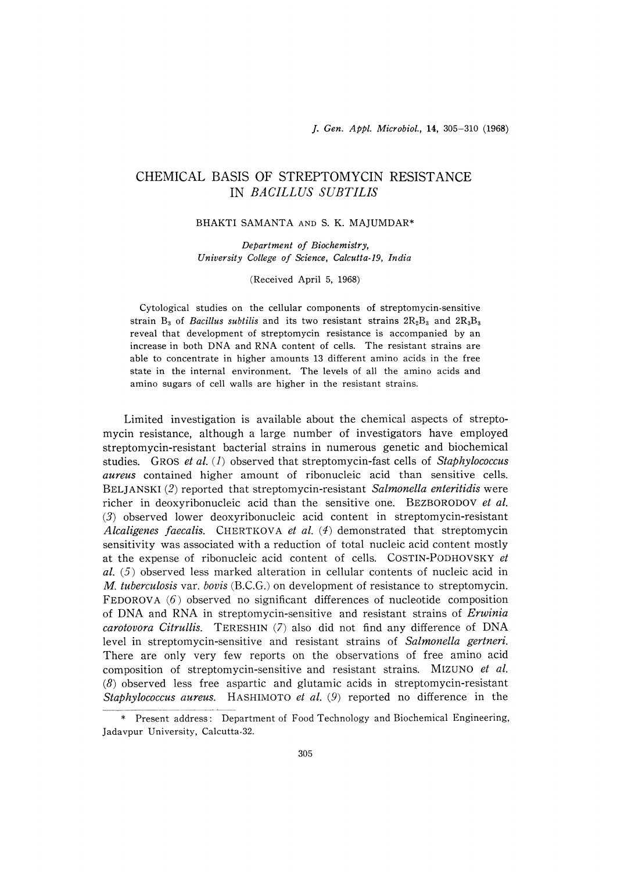# CHEMICAL BASIS OF STREPTOMYCIN RESISTAN IN *BACILLUS SUBTIL*

### BHAKTI SAMANTA AND S. K. MAJUMDAR\*

Department of Biochemistry, University College of Science, Calcutta-19, India

#### (Received April 5, 1968)

Cytological studies on the cellular components of streptomycin-sensitive strain  $B_3$  of *Bacillus subtilis* and its two resistant strains  $2R_2B_3$  and  $2R_3B_3$ reveal that development of streptomycin resistance is accompanied by an increase in both DNA and RNA content of cells. The resistant strains are able to concentrate in higher amounts 13 different amino acids in the free state in the internal environment. The levels of all the amino acids and amino sugars of cell walls are higher in the resistant strains.

 Limited investigation is available about the chemical aspects of streptomycin resistance, although a large number of investigators have employed streptomycin-resistant bacterial strains in numerous genetic and biochemical studies. GROS et al.  $(1)$  observed that streptomycin-fast cells of Staphylococcus aureus contained higher amount of ribonucleic acid than sensitive cells. BELJANSKI (2) reported that streptomycin-resistant Salmonella enteritidis were richer in deoxyribonucleic acid than the sensitive one. BEZBORODOV et al. (3) observed lower deoxyribonucleic acid content in streptomycin-resistant Alcaligenes faecalis. CHERTKOVA et al.  $(4)$  demonstrated that streptomycin sensitivity was associated with a reduction of total nucleic acid content mostly at the expense of ribonucleic acid content of cells. COSTIN-PODHOVSKY et  $al.$  (5) observed less marked alteration in cellular contents of nucleic acid in M. tuberculosis var, bovis (B.C.G.) on development of resistance to streptomycin. FEDOROVA  $(6)$  observed no significant differences of nucleotide composition of DNA and RNA in streptomycin-sensitive and resistant strains of *Erwinia* carotovora Citrullis. TERESHIN (7) also did not find any difference of DNA level in streptomycin-sensitive and resistant strains of Salmonella gertneri. There are only very few reports on the observations of free amino acid composition of streptomycin-sensitive and resistant strains. MIZUNO et al.  $(8)$  observed less free aspartic and glutamic acids in streptomycin-resistant Staphylococcus aureus. HASHIMOTO et al. (9) reported no difference in the

<sup>\*</sup> Present address: Department of Food Technology and Biochemical Engineering, Jadavpur University, Calcutta-32.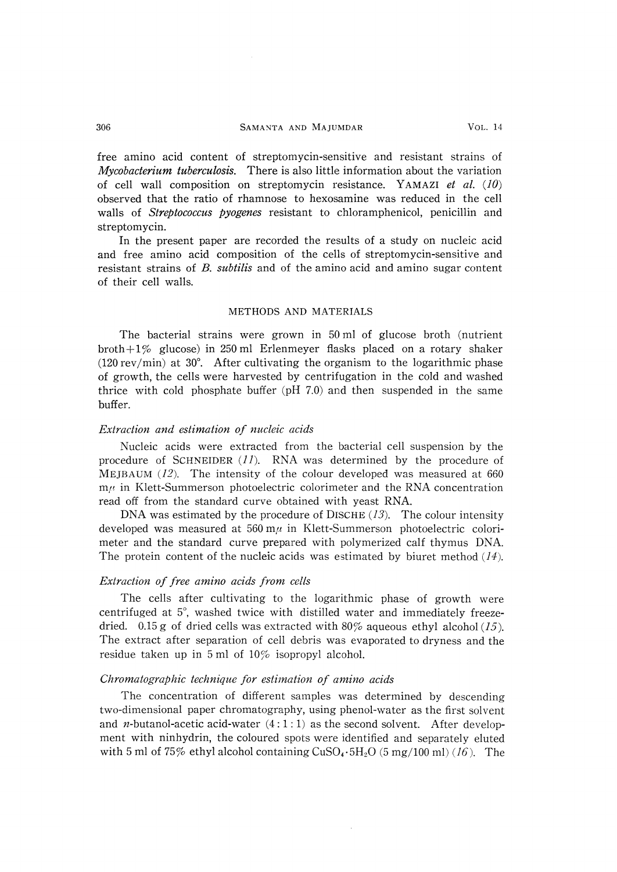### 306 SAMANTA AND MAJUMDAR VOL. 14

free amino acid content of streptomycin-sensitive and resistant strains of Mycobacterium tuberculosis. There is also little information about the variation of cell wall composition on streptomycin resistance. YAMAZI et al. (10) observed that the ratio of rhamnose to hexosamine was reduced in the cell walls of *Streptococcus pyogenes* resistant to chloramphenicol, penicillin and streptomycin.

 In the present paper are recorded the results of a study on nucleic acid and free amino acid composition of the cells of streptomycin-sensitive and resistant strains of B. subtilis and of the amino acid and amino sugar content of their cell walls.

### METHODS AND MATERIALS

The bacterial strains were grown in 50 ml of glucose broth (nutrient broth+1% glucose) in 250 ml Erlenmeyer flasks placed on a rotary shaker (120 rev/min) at 30°. After cultivating the organism to the logarithmic phase of growth, the cells were harvested by centrifugation in the cold and washed thrice with cold phosphate buffer (pH 7.0) and then suspended in the same buffer.

### Extraction and estimation of nucleic acids

Nucleic acids were extracted from the bacterial cell suspension by the procedure of SCHNEIDER  $(11)$ . RNA was determined by the procedure of MEJBAUM  $(12)$ . The intensity of the colour developed was measured at 660  $m<sub>l</sub>$  in Klett-Summerson photoelectric colorimeter and the RNA concentration read off from the standard curve obtained with yeast RNA.

DNA was estimated by the procedure of DISCHE  $(13)$ . The colour intensity developed was measured at  $560 \text{ m}\mu$  in Klett-Summerson photoelectric colorimeter and the standard curve prepared with polymerized calf thymus DNA. The protein content of the nucleic acids was estimated by biuret method  $(14)$ .

### Extraction of free amino acids from cells

The cells after cultivating to the logarithmic phase of growth were centrifuged at 5°, washed twice with distilled water and immediately freezedried. 0.15 g of dried cells was extracted with 80% aqueous ethyl alcohol  $(15)$ . The extract after separation of cell debris was evaporated to dryness and the residue taken up in 5 ml of  $10\%$  isopropyl alcohol.

## Chromatographic technique for estimation of amino acids

The concentration of different samples was determined by descending two-dimensional paper chromatography, using phenol-water as the first solvent and *n*-butanol-acetic acid-water  $(4:1:1)$  as the second solvent. After development with ninhydrin, the coloured spots were identified and separately eluted with 5 ml of 75% ethyl alcohol containing  $CuSO_4 \cdot 5H_2O$  (5 mg/100 ml) (16). The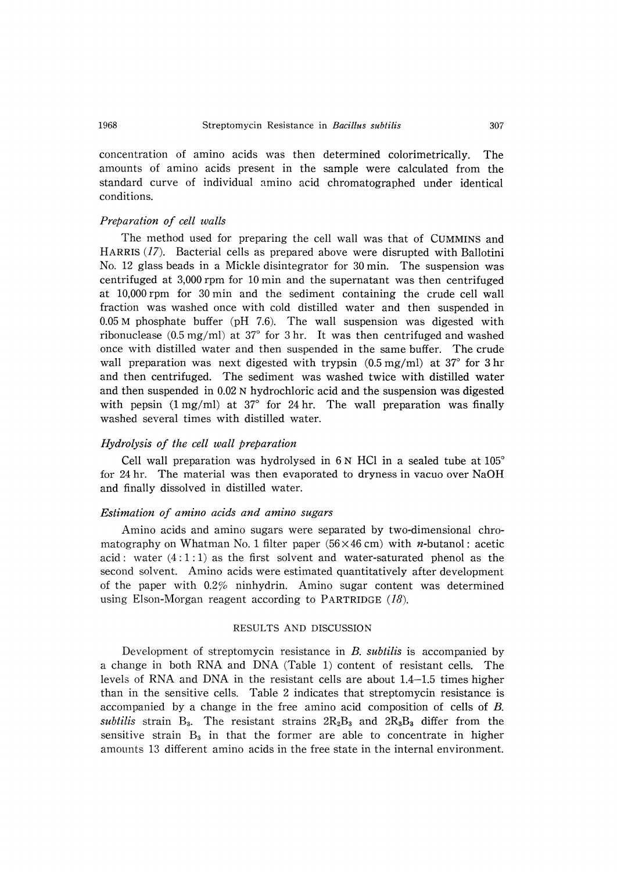concentration of amino acids was then determined colorimetrically. The amounts of amino acids present in the sample were calculated from the standard curve of individual amino acid chromatographed under identical conditions.

### Preparation of cell walls

The method used for preparing the cell wall was that of CUMMINS and HARRIS (17). Bacterial cells as prepared above were disrupted with Ballotini No. 12 glass beads in a Mickle disintegrator for 30 min. The suspension was centrifuged at 3,000 rpm for 10 min and the supernatant was then centrifuged at 10,000 rpm for 30 min and the sediment containing the crude cell wall fraction was washed once with cold distilled water and then suspended in 0.05 M phosphate buffer (pH 7.6). The wall suspension was digested with ribonuclease (0.5 mg/ml) at 37° for 3 hr. It was then centrifuged and washed once with distilled water and then suspended in the same buffer. The crude wall preparation was next digested with trypsin  $(0.5 \text{ mg/ml})$  at 37<sup>°</sup> for 3 hr and then centrifuged. The sediment was washed twice with distilled water and then suspended in 0.02 N hydrochloric acid and the suspension was digested with pepsin  $(1 \text{ mg/ml})$  at 37° for 24 hr. The wall preparation was finally washed several times with distilled water.

### Hydrolysis of the cell wall preparation

Cell wall preparation was hydrolysed in 6 N HCl in a sealed tube at 105° for 24 hr. The material was then evaporated to dryness in vacuo over NaOH and finally dissolved in distilled water.

### Estimation of amino acids and amino sugars

Amino acids and amino sugars were separated by two-dimensional chromatography on Whatman No. 1 filter paper (56 $\times$ 46 cm) with *n*-butanol : acetic acid: water  $(4:1:1)$  as the first solvent and water-saturated phenol as the second solvent. Amino acids were estimated quantitatively after development of the paper with  $0.2\%$  ninhydrin. Amino sugar content was determined using Elson-Morgan reagent according to PARTRIDGE  $(18)$ .

### RESULTS AND DISCUSSION

Development of streptomycin resistance in B, subtilis is accompanied by a change in both RNA and DNA (Table 1) content of resistant cells. The levels of RNA and DNA in the resistant cells are about 1.4-1.5 times higher than in the sensitive cells. Table 2 indicates that streptomycin resistance is accompanied by a change in the free amino acid composition of cells of B. subtilis strain  $B_3$ . The resistant strains  $2R_2B_3$  and  $2R_3B_3$  differ from the sensitive strain  $B_3$  in that the former are able to concentrate in higher amounts 13 different amino acids in the free state in the internal environment.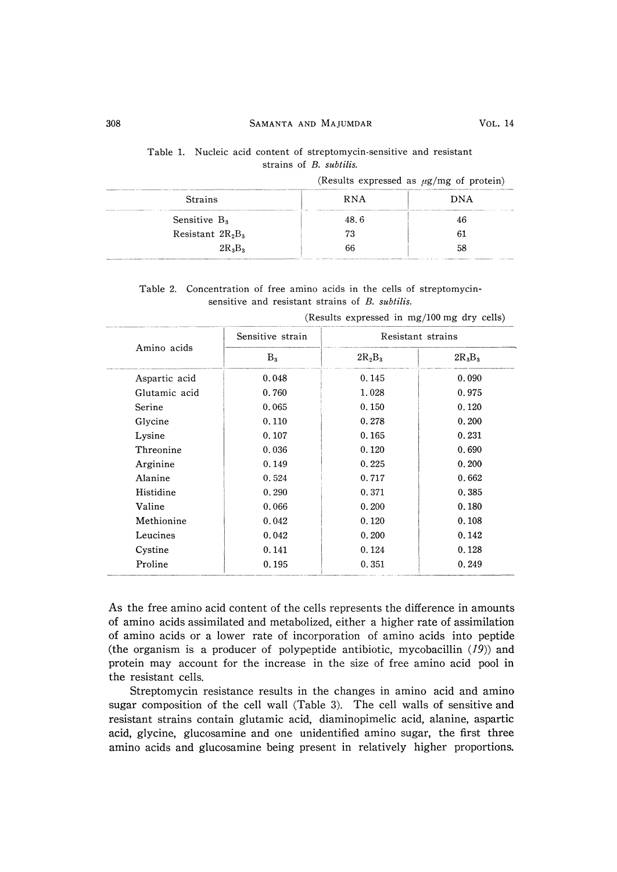### 308 SAMANTA AND MAJUMDAR VOL. 14

|                                         |  |  |  | Table 1. Nucleic acid content of streptomycin-sensitive and resistant |  |  |
|-----------------------------------------|--|--|--|-----------------------------------------------------------------------|--|--|
| strains of <i>B</i> . <i>subtilis</i> . |  |  |  |                                                                       |  |  |

|                                                                                                                                                                                                                                                                                                                                                                                                                                                                                    |                                                                                                                                                                                                                                              | .                                                                                                                                                                                                                                                         |
|------------------------------------------------------------------------------------------------------------------------------------------------------------------------------------------------------------------------------------------------------------------------------------------------------------------------------------------------------------------------------------------------------------------------------------------------------------------------------------|----------------------------------------------------------------------------------------------------------------------------------------------------------------------------------------------------------------------------------------------|-----------------------------------------------------------------------------------------------------------------------------------------------------------------------------------------------------------------------------------------------------------|
| <b>Strains</b>                                                                                                                                                                                                                                                                                                                                                                                                                                                                     | <b>RNA</b><br>The Middle of the American control of the Middle Corporation and the Constitution of the American control of the Corporation of the Corporation of the Corporation of the Corporation of the Corporation of the Corporation of | DNA                                                                                                                                                                                                                                                       |
| Mandatorine components are considered<br>Sensitive $B_3$                                                                                                                                                                                                                                                                                                                                                                                                                           | 48.6                                                                                                                                                                                                                                         | 46                                                                                                                                                                                                                                                        |
| Resistant $2R_2B_3$                                                                                                                                                                                                                                                                                                                                                                                                                                                                | 73                                                                                                                                                                                                                                           |                                                                                                                                                                                                                                                           |
| $2R_3B_3$<br>the company of the control of the control of the control of the control of the company of the control of the control of the control of the control of the control of the control of the control of the control of the control<br><b>Management and Constitution of the Constitution of the Constitution of the Constitution of the Constitution of the Constitution of the Constitution of the Constitution of the Constitution of the Constitution of the Consti</b> | 66                                                                                                                                                                                                                                           | The formation of the contract contract the second contract that is contracted as a second contract of the contract of the contract of the contract of the contract of the contract of the contract of the contract of the cont<br>provided the providers. |

|  | (Results expressed as $\mu$ g/mg of protein) |  |  |  |  |  |
|--|----------------------------------------------|--|--|--|--|--|
|--|----------------------------------------------|--|--|--|--|--|

Table 2. Concentration of free amino acids in the cells of streptomycinsensitive and resistant strains of B. subtilis.

|               | Sensitive strain | Resistant strains |           |  |
|---------------|------------------|-------------------|-----------|--|
| Amino acids   | $B_{3}$          | $2R_2B_3$         | $2R_3B_3$ |  |
| Aspartic acid | 0.048            | 0.145             | 0.090     |  |
| Glutamic acid | 0.760            | 1.028             | 0.975     |  |
| Serine        | 0.065            | 0.150             | 0.120     |  |
| Glycine       | 0.110            | 0.278             | 0.200     |  |
| Lysine        | 0.107            | 0.165             | 0.231     |  |
| Threonine     | 0.036            | 0.120             | 0.690     |  |
| Arginine      | 0.149            | 0.225             | 0.200     |  |
| Alanine       | 0.524            | 0.717             | 0.662     |  |
| Histidine     | 0.290            | 0.371             | 0.385     |  |
| Valine        | 0.066            | 0.200             | 0.180     |  |
| Methionine    | 0.042            | 0.120             | 0.108     |  |
| Leucines      | 0.042            | 0.200             | 0.142     |  |
| Cystine       | 0.141            | 0.124             | 0.128     |  |
| Proline       | 0.195            | 0.351             | 0.249     |  |
|               |                  |                   |           |  |

(Results expressed in mg/100 mg dry cells)

As the free amino acid content of the cells represents the difference in amounts of amino acids assimilated and metabolized, either a higher rate of assimilation of amino acids or a lower rate of incorporation of amino acids into peptide (the organism is a producer of polypeptide antibiotic, mycobacillin  $(19)$ ) and protein may account for the increase in the size of free amino acid pool in the resistant cells.

Streptomycin resistance results in the changes in amino acid and amino sugar composition of the cell wall (Table 3). The cell walls of sensitive and resistant strains contain glutamic acid, diaminopimelic acid, alanine, aspartic acid, glycine, glucosamine and one unidentified amino sugar, the first three amino acids and glucosamine being present in relatively higher proportions.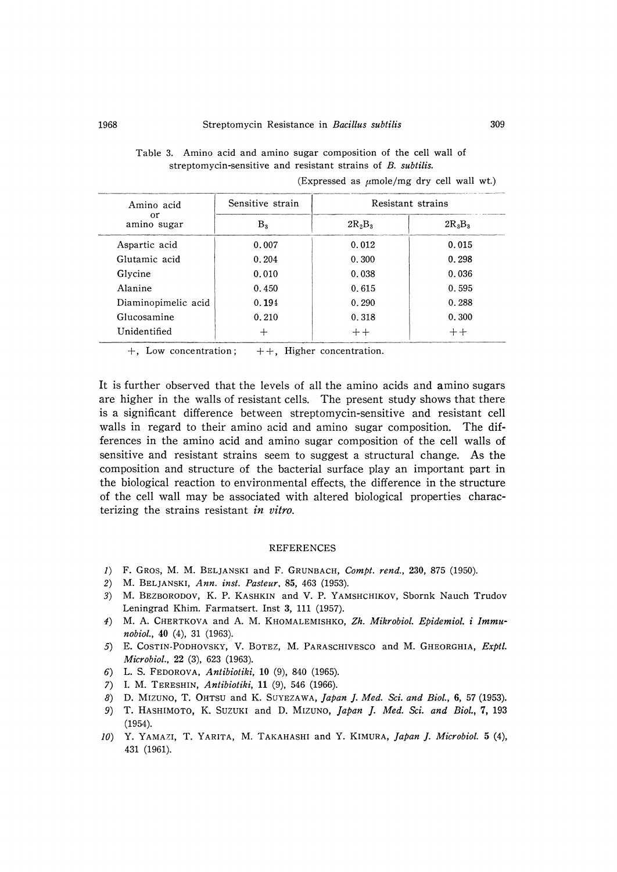Table 3. Amino acid and amino sugar composition of the cell wall of streptomycin-sensitive and resistant strains of B. subtilis.

| Amino acid          | Sensitive strain | Resistant strains |           |  |
|---------------------|------------------|-------------------|-----------|--|
| or<br>amino sugar   | $\rm B_{2}$      | $2R_2B_3$         | $2R_3B_3$ |  |
| Aspartic acid       | 0.007            | 0.012             | 0.015     |  |
| Glutamic acid       | 0.204            | 0.300             | 0.298     |  |
| Glycine             | 0.010            | 0.038             | 0.036     |  |
| Alanine             | 0.450            | 0.615             | 0.595     |  |
| Diaminopimelic acid | 0.194            | 0.290             | 0.288     |  |
| Glucosamine         | 0.210            | 0.318             | 0.300     |  |
| Unidentified        | ┿                | $++$              | $++$      |  |

(Expressed as  $\mu$ mole/mg dry cell wall wt.)

+, Low concentration;  $++$ , Higher concentration.

It is further observed that the levels of all the amino acids and amino sugars are higher in the walls of resistant cells. The present study shows that there is a significant difference between streptomycin-sensitive and resistant cell walls in regard to their amino acid and amino sugar composition. The differences in the amino acid and amino sugar composition of the cell walls of sensitive and resistant strains seem to suggest a structural change. As the composition and structure of the bacterial surface play an important part in the biological reaction to environmental effects, the difference in the structure of the cell wall may be associated with altered biological properties characterizing the strains resistant in vitro.

#### REFERENCES

- 1) F. GROS, M. M. BELJANSKI and F. GRUNBACH, Compt. rend., 230, 875 (1950).
- 2) M. BELJANSKI, Ann. inst. Pasteur, 85, 463 (1953).
- 3) M. BEZBORODOV, K. P. KASHKIN and V. P. YAMSHCHIKOV, Sbornk Nauch Trudov Leningrad Khim. Farmatsert. Inst 3, 111 (1957).
- 4) M. A. CHERTKOVA and A. M. KHOMALEMISHKO, Zh. Mikrobiol. Ebidemiol. i Immu nobiol., 40 (4), 31 (1963).
- 5) E. COSTIN-PODHOVSKY, V. BOTEZ, M. PARASCHIVESCO and M. GHEORGHIA, Exptl. Microbiol., 22 (3), 623 (1963).
- 6) L. S. FEDOROVA, Antibiotiki, 10 (9), 840 (1965).
- 7) I. M. TERESHIN, Antibiotiki, 11 (9), 546 (1966).
- 8) D. MIZUNO, T. OHTSU and K. SUYEZAWA, Japan J. Med. Sci. and Biol., 6, 57 (1953).
- 9) T. HASHIMOTO, K. SUZUKI and D. MIZUNO, Japan J. Med. Sci. and Biol., 7, 193 (1954).
- 10) Y. YAMAZI, T. YARITA, M. TAKAHASHI and Y. KIMURA, Japan J. Microbiol. 5 (4), 431 (1961).